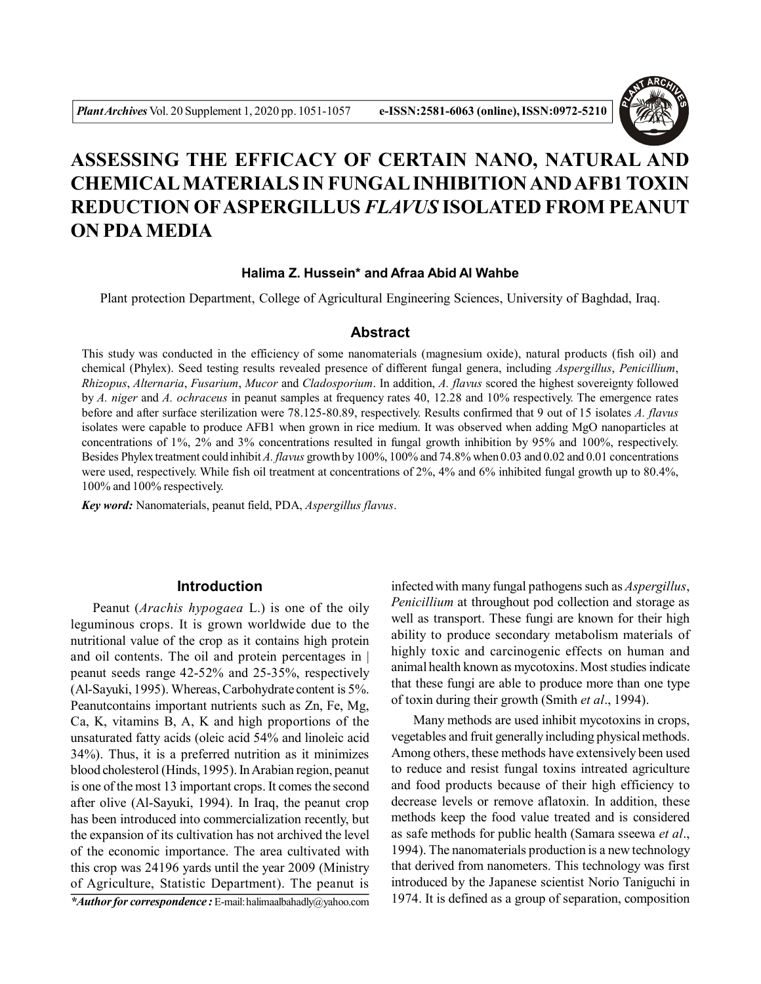

# **ASSESSING THE EFFICACY OF CERTAIN NANO, NATURAL AND CHEMICAL MATERIALS IN FUNGAL INHIBITION AND AFB1 TOXIN REDUCTION OFASPERGILLUS** *FLAVUS* **ISOLATED FROM PEANUT ON PDA MEDIA**

## **Halima Z. Hussein\* and Afraa Abid Al Wahbe**

Plant protection Department, College of Agricultural Engineering Sciences, University of Baghdad, Iraq.

#### **Abstract**

This study was conducted in the efficiency of some nanomaterials (magnesium oxide), natural products (fish oil) and chemical (Phylex). Seed testing results revealed presence of different fungal genera, including *Aspergillus*, *Penicillium*, *Rhizopus*, *Alternaria*, *Fusarium*, *Mucor* and *Cladosporium*. In addition, *A. flavus* scored the highest sovereignty followed by *A. niger* and *A. ochraceus* in peanut samples at frequency rates 40, 12.28 and 10% respectively. The emergence rates before and after surface sterilization were 78.125-80.89, respectively. Results confirmed that 9 out of 15 isolates *A. flavus* isolates were capable to produce AFB1 when grown in rice medium. It was observed when adding MgO nanoparticles at concentrations of 1%, 2% and 3% concentrations resulted in fungal growth inhibition by 95% and 100%, respectively. Besides Phylex treatment could inhibit *A. flavus* growth by 100%, 100% and 74.8% when 0.03 and 0.02 and 0.01 concentrations were used, respectively. While fish oil treatment at concentrations of 2%, 4% and 6% inhibited fungal growth up to 80.4%, 100% and 100% respectively.

*Key word:* Nanomaterials, peanut field, PDA, *Aspergillus flavus*.

## **Introduction**

Peanut (*Arachis hypogaea* L.) is one of the oily leguminous crops. It is grown worldwide due to the nutritional value of the crop as it contains high protein and oil contents. The oil and protein percentages in | peanut seeds range 42-52% and 25-35%, respectively (Al-Sayuki, 1995). Whereas, Carbohydrate content is 5%. Peanutcontains important nutrients such as Zn, Fe, Mg, Ca, K, vitamins B, A, K and high proportions of the unsaturated fatty acids (oleic acid 54% and linoleic acid 34%). Thus, it is a preferred nutrition as it minimizes blood cholesterol (Hinds, 1995). In Arabian region, peanut is one of the most 13 important crops. It comes the second after olive (Al-Sayuki, 1994). In Iraq, the peanut crop has been introduced into commercialization recently, but the expansion of its cultivation has not archived the level of the economic importance. The area cultivated with this crop was 24196 yards until the year 2009 (Ministry of Agriculture, Statistic Department). The peanut is *\*Author for correspondence :* E-mail: halimaalbahadly@yahoo.com

infected with many fungal pathogens such as *Aspergillus*, *Penicillium* at throughout pod collection and storage as well as transport. These fungi are known for their high ability to produce secondary metabolism materials of highly toxic and carcinogenic effects on human and animal health known as mycotoxins. Most studies indicate that these fungi are able to produce more than one type of toxin during their growth (Smith *et al*., 1994).

Many methods are used inhibit mycotoxins in crops, vegetables and fruit generally including physical methods. Among others, these methods have extensively been used to reduce and resist fungal toxins intreated agriculture and food products because of their high efficiency to decrease levels or remove aflatoxin. In addition, these methods keep the food value treated and is considered as safe methods for public health (Samara sseewa *et al*., 1994). The nanomaterials production is a new technology that derived from nanometers. This technology was first introduced by the Japanese scientist Norio Taniguchi in 1974. It is defined as a group of separation, composition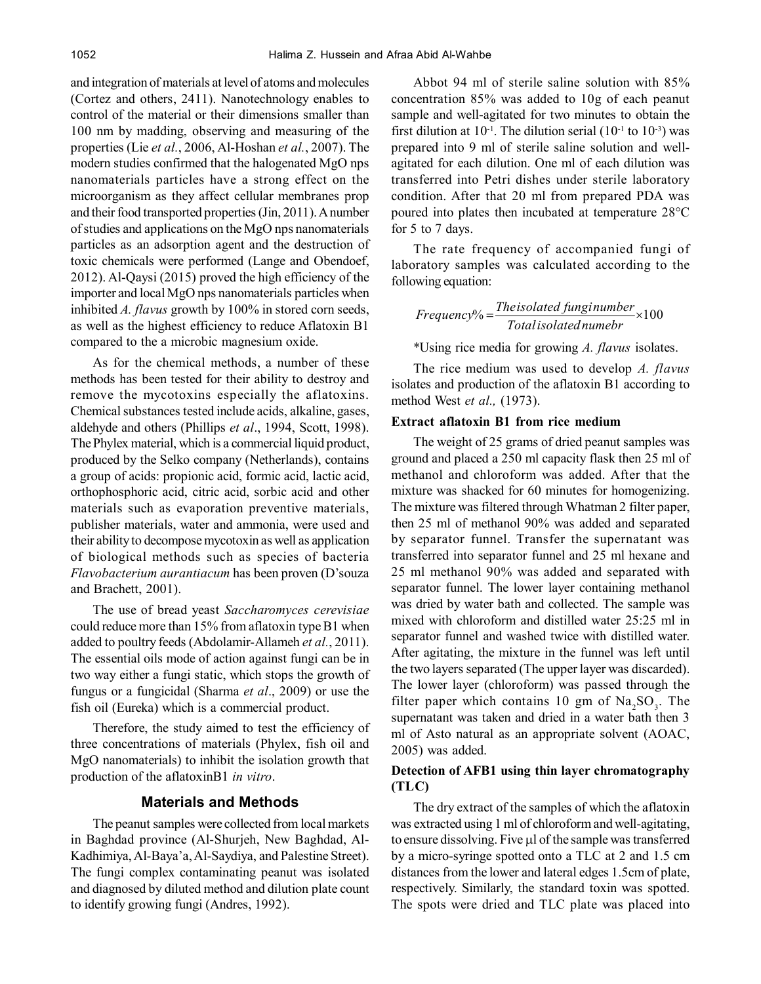and integration of materials at level of atoms and molecules (Cortez and others, 2411). Nanotechnology enables to control of the material or their dimensions smaller than 100 nm by madding, observing and measuring of the properties (Lie *et al.*, 2006, Al-Hoshan *et al.*, 2007). The modern studies confirmed that the halogenated MgO nps nanomaterials particles have a strong effect on the microorganism as they affect cellular membranes prop and their food transported properties (Jin, 2011). A number of studies and applications on the MgO nps nanomaterials particles as an adsorption agent and the destruction of toxic chemicals were performed (Lange and Obendoef, 2012). Al-Qaysi (2015) proved the high efficiency of the importer and local MgO nps nanomaterials particles when inhibited *A. flavus* growth by 100% in stored corn seeds, as well as the highest efficiency to reduce Aflatoxin B1 compared to the a microbic magnesium oxide.

As for the chemical methods, a number of these methods has been tested for their ability to destroy and remove the mycotoxins especially the aflatoxins. Chemical substances tested include acids, alkaline, gases, aldehyde and others (Phillips *et al*., 1994, Scott, 1998). The Phylex material, which is a commercial liquid product, produced by the Selko company (Netherlands), contains a group of acids: propionic acid, formic acid, lactic acid, orthophosphoric acid, citric acid, sorbic acid and other materials such as evaporation preventive materials, publisher materials, water and ammonia, were used and their ability to decompose mycotoxin as well as application of biological methods such as species of bacteria *Flavobacterium aurantiacum* has been proven (D'souza and Brachett, 2001).

The use of bread yeast *Saccharomyces cerevisiae* could reduce more than 15% from aflatoxin type B1 when added to poultry feeds (Abdolamir-Allameh *et al.*, 2011). The essential oils mode of action against fungi can be in two way either a fungi static, which stops the growth of fungus or a fungicidal (Sharma *et al*., 2009) or use the fish oil (Eureka) which is a commercial product.

Therefore, the study aimed to test the efficiency of three concentrations of materials (Phylex, fish oil and MgO nanomaterials) to inhibit the isolation growth that production of the aflatoxinB1 *in vitro*.

#### **Materials and Methods**

The peanut samples were collected from local markets in Baghdad province (Al-Shurjeh, New Baghdad, Al-Kadhimiya, Al-Baya'a, Al-Saydiya, and Palestine Street). The fungi complex contaminating peanut was isolated and diagnosed by diluted method and dilution plate count to identify growing fungi (Andres, 1992).

Abbot 94 ml of sterile saline solution with 85% concentration 85% was added to 10g of each peanut sample and well-agitated for two minutes to obtain the first dilution at  $10^{-1}$ . The dilution serial ( $10^{-1}$  to  $10^{-3}$ ) was prepared into 9 ml of sterile saline solution and wellagitated for each dilution. One ml of each dilution was transferred into Petri dishes under sterile laboratory condition. After that 20 ml from prepared PDA was poured into plates then incubated at temperature 28°C for 5 to 7 days.

The rate frequency of accompanied fungi of laboratory samples was calculated according to the following equation:

 $\% = \frac{1}{T}$   $\frac{1}{T}$   $\frac{1}{T}$   $\frac{1}{T}$   $\frac{1}{T}$   $\frac{1}{T}$   $\frac{1}{T}$   $\frac{1}{T}$   $\frac{1}{T}$   $\frac{1}{T}$   $\frac{1}{T}$ *Totalisolatednumebr Theisolated funginumber Frequency*

\*Using rice media for growing *A. flavus* isolates.

The rice medium was used to develop *A. flavus* isolates and production of the aflatoxin B1 according to method West *et al.,* (1973).

#### **Extract aflatoxin B1 from rice medium**

The weight of 25 grams of dried peanut samples was ground and placed a 250 ml capacity flask then 25 ml of methanol and chloroform was added. After that the mixture was shacked for 60 minutes for homogenizing. The mixture was filtered through Whatman 2 filter paper, then 25 ml of methanol 90% was added and separated by separator funnel. Transfer the supernatant was transferred into separator funnel and 25 ml hexane and 25 ml methanol 90% was added and separated with separator funnel. The lower layer containing methanol was dried by water bath and collected. The sample was mixed with chloroform and distilled water 25:25 ml in separator funnel and washed twice with distilled water. After agitating, the mixture in the funnel was left until the two layers separated (The upper layer was discarded). The lower layer (chloroform) was passed through the filter paper which contains 10 gm of  $\text{Na}_2\text{SO}_3$ . The supernatant was taken and dried in a water bath then 3 ml of Asto natural as an appropriate solvent (AOAC, 2005) was added.

# **Detection of AFB1 using thin layer chromatography (TLC)**

The dry extract of the samples of which the aflatoxin was extracted using 1 ml of chloroform and well-agitating, to ensure dissolving. Five µl of the sample was transferred by a micro-syringe spotted onto a TLC at 2 and 1.5 cm distances from the lower and lateral edges 1.5cm of plate, respectively. Similarly, the standard toxin was spotted. The spots were dried and TLC plate was placed into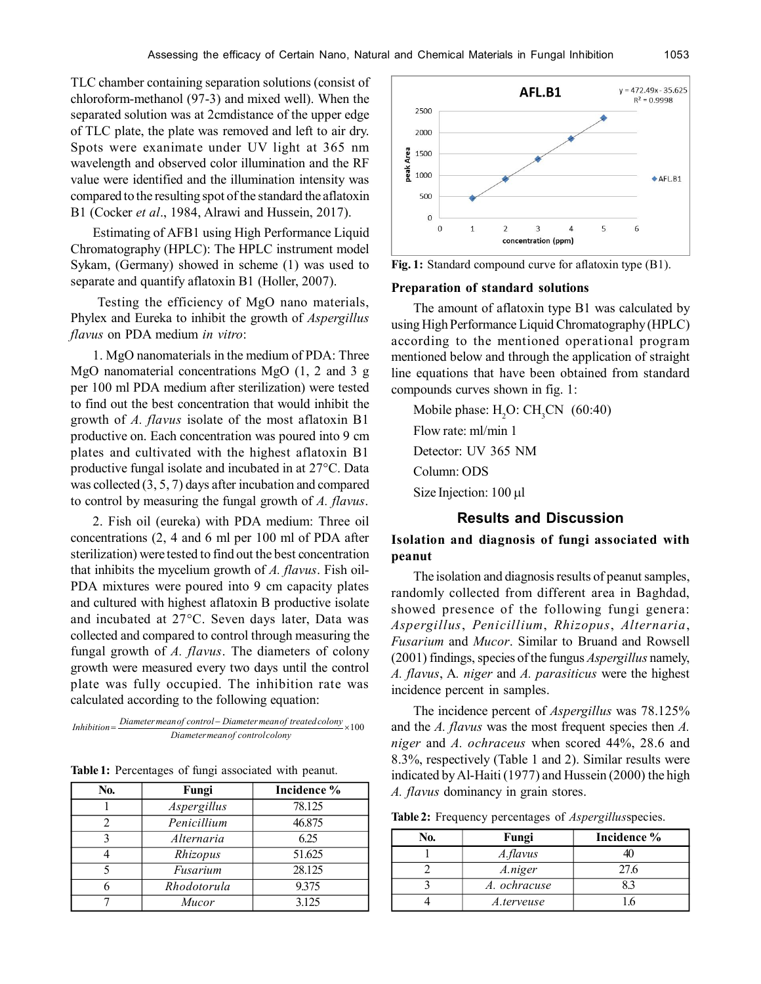TLC chamber containing separation solutions (consist of chloroform-methanol (97-3) and mixed well). When the separated solution was at 2cmdistance of the upper edge of TLC plate, the plate was removed and left to air dry. Spots were exanimate under UV light at 365 nm wavelength and observed color illumination and the RF value were identified and the illumination intensity was compared to the resulting spot of the standard the aflatoxin B1 (Cocker *et al*., 1984, Alrawi and Hussein, 2017).

Estimating of AFB1 using High Performance Liquid Chromatography (HPLC): The HPLC instrument model Sykam, (Germany) showed in scheme (1) was used to separate and quantify aflatoxin B1 (Holler, 2007).

Testing the efficiency of MgO nano materials, Phylex and Eureka to inhibit the growth of *Aspergillus flavus* on PDA medium *in vitro*:

1. MgO nanomaterials in the medium of PDA: Three MgO nanomaterial concentrations MgO (1, 2 and 3 g per 100 ml PDA medium after sterilization) were tested to find out the best concentration that would inhibit the growth of *A. flavus* isolate of the most aflatoxin B1 productive on. Each concentration was poured into 9 cm plates and cultivated with the highest aflatoxin B1 productive fungal isolate and incubated in at 27°C. Data was collected (3, 5, 7) days after incubation and compared to control by measuring the fungal growth of *A. flavus*.

2. Fish oil (eureka) with PDA medium: Three oil concentrations (2, 4 and 6 ml per 100 ml of PDA after sterilization) were tested to find out the best concentration that inhibits the mycelium growth of *A. flavus*. Fish oil-PDA mixtures were poured into 9 cm capacity plates and cultured with highest aflatoxin B productive isolate and incubated at 27°C. Seven days later, Data was collected and compared to control through measuring the fungal growth of *A. flavus*. The diameters of colony growth were measured every two days until the control plate was fully occupied. The inhibition rate was calculated according to the following equation:

Inhibition =  $\frac{Diameter \, mean \, of \, controller \, Diameter \, mean \, of \, treated \, colony}{2} \times 100$ *Diametermeanof controlcolony*

| Table 1: Percentages of fungi associated with peanut. |  |  |  |  |
|-------------------------------------------------------|--|--|--|--|
|-------------------------------------------------------|--|--|--|--|

| No. | Fungi       | Incidence % |
|-----|-------------|-------------|
|     | Aspergillus | 78.125      |
|     | Penicillium | 46.875      |
| 2   | Alternaria  | 6.25        |
|     | Rhizopus    | 51.625      |
|     | Fusarium    | 28.125      |
|     | Rhodotorula | 9.375       |
|     | Mucor       | 3.125       |



**Fig. 1:** Standard compound curve for aflatoxin type (B1).

#### **Preparation of standard solutions**

The amount of aflatoxin type B1 was calculated by using High Performance Liquid Chromatography (HPLC) according to the mentioned operational program mentioned below and through the application of straight line equations that have been obtained from standard compounds curves shown in fig. 1:

Mobile phase:  $H<sub>2</sub>O$ :  $CH<sub>2</sub>CN$  (60:40) Flow rate: ml/min 1 Detector: UV 365 NM Column: ODS Size Injection: 100 µl

# **Results and Discussion**

**Isolation and diagnosis of fungi associated with peanut**

The isolation and diagnosis results of peanut samples, randomly collected from different area in Baghdad, showed presence of the following fungi genera: *Aspergillus*, *Penicillium*, *Rhizopus*, *Alternaria*, *Fusarium* and *Mucor*. Similar to Bruand and Rowsell (2001) findings, species of the fungus *Aspergillus* namely, *A. flavus*, A*. niger* and *A. parasiticus* were the highest incidence percent in samples.

The incidence percent of *Aspergillus* was 78.125% and the *A. flavus* was the most frequent species then *A. niger* and *A. ochraceus* when scored 44%, 28.6 and 8.3%, respectively (Table 1 and 2). Similar results were indicated by Al-Haiti (1977) and Hussein (2000) the high *A. flavus* dominancy in grain stores.

**Table 2:** Frequency percentages of *Aspergillus*species.

| ŃО. | Fungi        | Incidence % |
|-----|--------------|-------------|
|     | A.flavus     |             |
|     | A.niger      | 27.6        |
|     | A. ochracuse |             |
|     | A.terveuse   |             |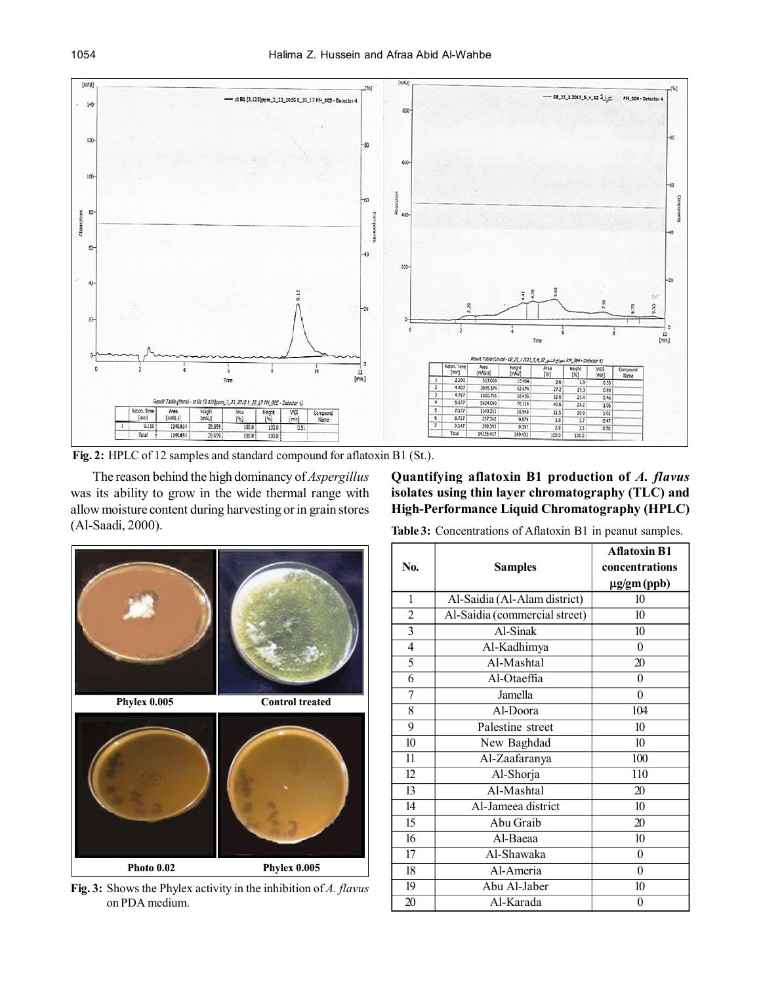

**Fig. 2:** HPLC of 12 samples and standard compound for aflatoxin B1 (St.).

The reason behind the high dominancy of *Aspergillus* was its ability to grow in the wide thermal range with allow moisture content during harvesting or in grain stores (Al-Saadi, 2000). **Table 3:** Concentrations of Aflatoxin B1 in peanut samples.

**Quantifying aflatoxin B1 production of** *A. flavus* **isolates using thin layer chromatography (TLC) and High-Performance Liquid Chromatography (HPLC)**



**Fig. 3:** Shows the Phylex activity in the inhibition of *A. flavus* on PDA medium.

|                |                               | <b>Aflatoxin B1</b> |
|----------------|-------------------------------|---------------------|
| No.            | <b>Samples</b>                | concentrations      |
|                |                               | µg/gm (ppb)         |
| 1              | Al-Saidia (Al-Alam district)  | 10                  |
| $\overline{c}$ | Al-Saidia (commercial street) | 10                  |
| $\overline{3}$ | Al-Sinak                      | 10                  |
| $\overline{4}$ | Al-Kadhimya                   | 0                   |
| 5              | Al-Mashtal                    | 20                  |
| 6              | Al-Otaeffia                   | $\boldsymbol{0}$    |
| 7              | Jamella                       | $\theta$            |
| 8              | Al-Doora                      | 104                 |
| 9              | Palestine street              | 10                  |
| 10             | New Baghdad                   | 10                  |
| 11             | Al-Zaafaranya                 | 100                 |
| 12             | Al-Shorja                     | 110                 |
| 13             | Al-Mashtal                    | 20                  |
| 14             | Al-Jameea district            | 10                  |
| 15             | Abu Graib                     | 20                  |
| 16             | Al-Baeaa                      | 10                  |
| 17             | Al-Shawaka                    | $\theta$            |
| 18             | Al-Ameria                     | $\theta$            |
| 19             | Abu Al-Jaber                  | 10                  |
| 20             | Al-Karada                     | $\overline{0}$      |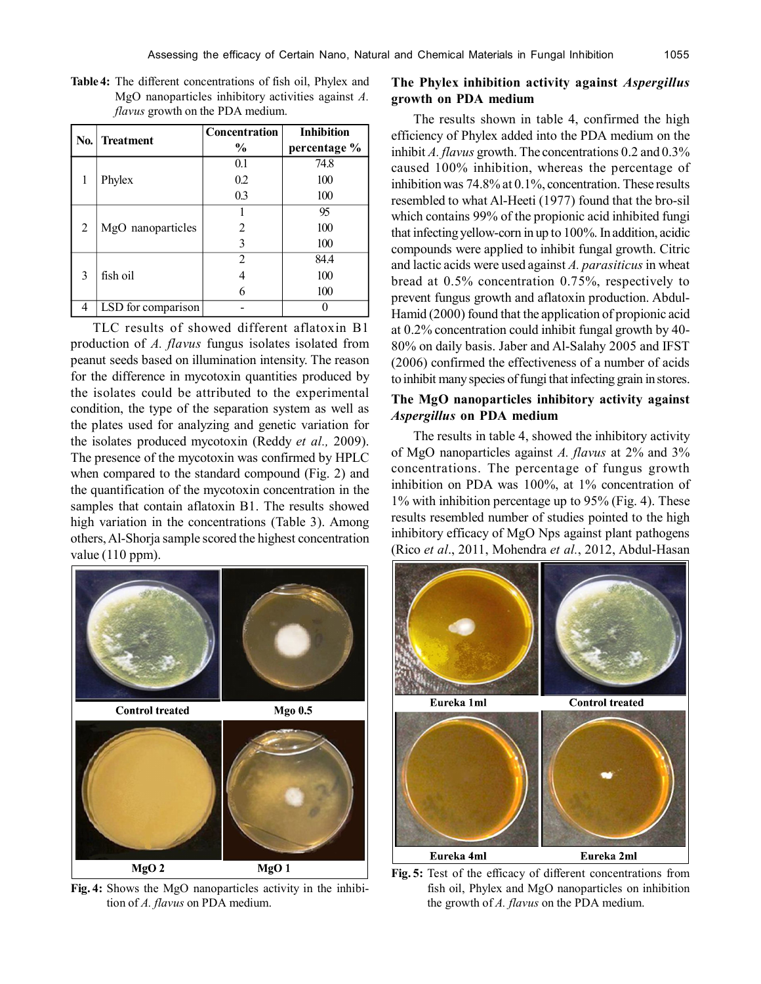|                        |                    | <b>Concentration</b> | <b>Inhibition</b> |
|------------------------|--------------------|----------------------|-------------------|
|                        | No. Treatment      | $\frac{6}{9}$        | percentage %      |
|                        |                    | 0.1                  | 74.8              |
| Phylex<br>1            |                    | 0.2                  | 100               |
|                        |                    | 0.3                  | 100               |
|                        |                    |                      | 95                |
| 2<br>MgO nanoparticles |                    | 2                    | 100               |
|                        | 3                  | 100                  |                   |
|                        |                    | $\overline{2}$       | 84.4              |
| 3                      | fish oil           |                      | 100               |
|                        |                    | 6                    | 100               |
| 4                      | LSD for comparison |                      |                   |

**Table 4:** The different concentrations of fish oil, Phylex and MgO nanoparticles inhibitory activities against *A. flavus* growth on the PDA medium.

TLC results of showed different aflatoxin B1 production of *A. flavus* fungus isolates isolated from peanut seeds based on illumination intensity. The reason for the difference in mycotoxin quantities produced by the isolates could be attributed to the experimental condition, the type of the separation system as well as the plates used for analyzing and genetic variation for the isolates produced mycotoxin (Reddy *et al.,* 2009). The presence of the mycotoxin was confirmed by HPLC when compared to the standard compound (Fig. 2) and the quantification of the mycotoxin concentration in the samples that contain aflatoxin B1. The results showed high variation in the concentrations (Table 3). Among others, Al-Shorja sample scored the highest concentration value (110 ppm).



**Fig. 4:** Shows the MgO nanoparticles activity in the inhibition of *A. flavus* on PDA medium.

# **The Phylex inhibition activity against** *Aspergillus* **growth on PDA medium**

The results shown in table 4, confirmed the high efficiency of Phylex added into the PDA medium on the inhibit *A. flavus* growth. The concentrations 0.2 and 0.3% caused 100% inhibition, whereas the percentage of inhibition was 74.8% at 0.1%, concentration. These results resembled to what Al-Heeti (1977) found that the bro-sil which contains 99% of the propionic acid inhibited fungi that infecting yellow-corn in up to 100%. In addition, acidic compounds were applied to inhibit fungal growth. Citric and lactic acids were used against *A. parasiticus* in wheat bread at 0.5% concentration 0.75%, respectively to prevent fungus growth and aflatoxin production. Abdul-Hamid (2000) found that the application of propionic acid at 0.2% concentration could inhibit fungal growth by 40- 80% on daily basis. Jaber and Al-Salahy 2005 and IFST (2006) confirmed the effectiveness of a number of acids to inhibit many species of fungi that infecting grain in stores.

# **The MgO nanoparticles inhibitory activity against** *Aspergillus* **on PDA medium**

The results in table 4, showed the inhibitory activity of MgO nanoparticles against *A. flavus* at 2% and 3% concentrations. The percentage of fungus growth inhibition on PDA was 100%, at 1% concentration of 1% with inhibition percentage up to 95% (Fig. 4). These results resembled number of studies pointed to the high inhibitory efficacy of MgO Nps against plant pathogens (Rico *et al*., 2011, Mohendra *et al.*, 2012, Abdul-Hasan



**Fig. 5:** Test of the efficacy of different concentrations from fish oil, Phylex and MgO nanoparticles on inhibition the growth of *A. flavus* on the PDA medium.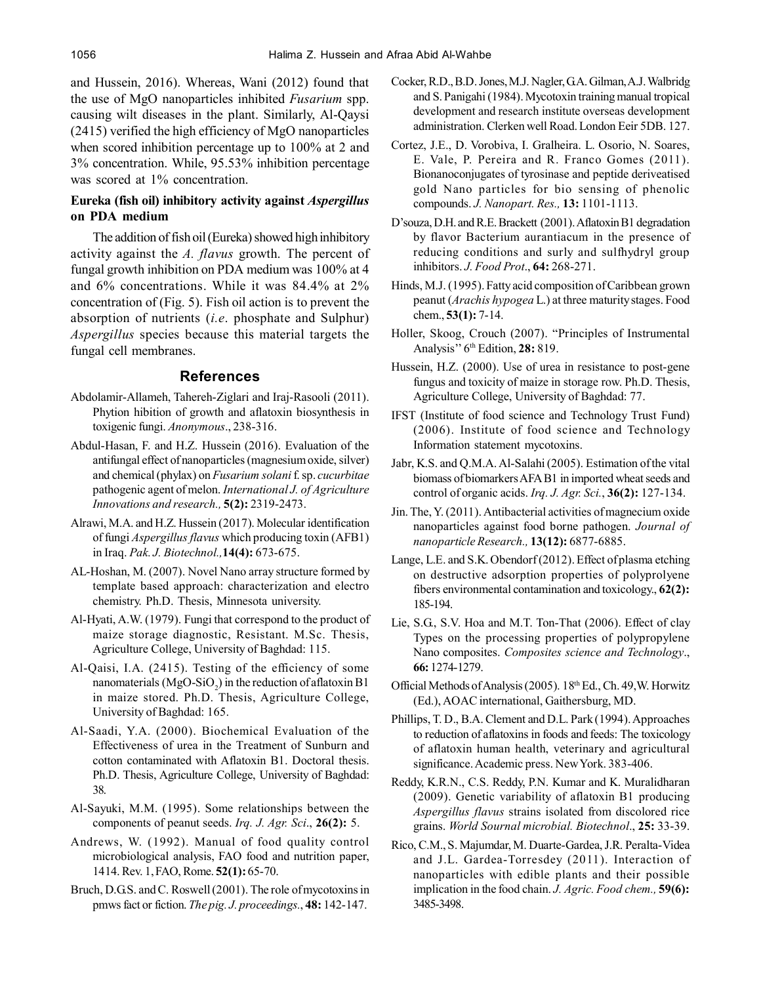and Hussein, 2016). Whereas, Wani (2012) found that the use of MgO nanoparticles inhibited *Fusarium* spp. causing wilt diseases in the plant. Similarly, Al-Qaysi (2415) verified the high efficiency of MgO nanoparticles when scored inhibition percentage up to 100% at 2 and 3% concentration. While, 95.53% inhibition percentage was scored at 1% concentration.

## **Eureka (fish oil) inhibitory activity against** *Aspergillus* **on PDA medium**

The addition of fish oil (Eureka) showed high inhibitory activity against the *A. flavus* growth. The percent of fungal growth inhibition on PDA medium was 100% at 4 and 6% concentrations. While it was 84.4% at 2% concentration of (Fig. 5). Fish oil action is to prevent the absorption of nutrients (*i.e*. phosphate and Sulphur) *Aspergillus* species because this material targets the fungal cell membranes.

## **References**

- Abdolamir-Allameh, Tahereh-Ziglari and Iraj-Rasooli (2011). Phytion hibition of growth and aflatoxin biosynthesis in toxigenic fungi. *Anonymous*., 238-316.
- Abdul-Hasan, F. and H.Z. Hussein (2016). Evaluation of the antifungal effect of nanoparticles (magnesium oxide, silver) and chemical (phylax) on *Fusarium solani* f. sp. *cucurbitae* pathogenic agent of melon. *International J. of Agriculture Innovations and research.,* **5(2):** 2319-2473.
- Alrawi, M.A. and H.Z. Hussein (2017). Molecular identification of fungi *Aspergillus flavus* which producing toxin (AFB1) in Iraq. *Pak. J. Biotechnol.,***14(4):** 673-675.
- AL-Hoshan, M. (2007). Novel Nano array structure formed by template based approach: characterization and electro chemistry. Ph.D. Thesis, Minnesota university.
- Al-Hyati, A.W. (1979). Fungi that correspond to the product of maize storage diagnostic, Resistant. M.Sc. Thesis, Agriculture College, University of Baghdad: 115.
- Al-Qaisi, I.A. (2415). Testing of the efficiency of some nanomaterials (MgO-SiO<sub>2</sub>) in the reduction of aflatoxin B1 in maize stored. Ph.D. Thesis, Agriculture College, University of Baghdad: 165.
- Al-Saadi, Y.A. (2000). Biochemical Evaluation of the Effectiveness of urea in the Treatment of Sunburn and cotton contaminated with Aflatoxin B1. Doctoral thesis. Ph.D. Thesis, Agriculture College, University of Baghdad: 38.
- Al-Sayuki, M.M. (1995). Some relationships between the components of peanut seeds. *Irq. J. Agr. Sci*., **26(2):** 5.
- Andrews, W. (1992). Manual of food quality control microbiological analysis, FAO food and nutrition paper, 1414. Rev. 1, FAO, Rome. **52(1):** 65-70.
- Bruch, D.G.S. and C. Roswell (2001). The role of mycotoxins in pmws fact or fiction. *The pig. J. proceedings.*, **48:** 142-147.
- Cocker, R.D., B.D. Jones, M.J. Nagler, G.A. Gilman, A.J. Walbridg and S. Panigahi (1984). Mycotoxin training manual tropical development and research institute overseas development administration. Clerken well Road. London Eeir 5DB. 127.
- Cortez, J.E., D. Vorobiva, I. Gralheira. L. Osorio, N. Soares, E. Vale, P. Pereira and R. Franco Gomes (2011). Bionanoconjugates of tyrosinase and peptide deriveatised gold Nano particles for bio sensing of phenolic compounds. *J. Nanopart. Res.,* **13:** 1101-1113.
- D'souza, D.H. and R.E. Brackett (2001). Aflatoxin B1 degradation by flavor Bacterium aurantiacum in the presence of reducing conditions and surly and sulfhydryl group inhibitors. *J. Food Prot*., **64:** 268-271.
- Hinds, M.J. (1995). Fatty acid composition of Caribbean grown peanut (*Arachis hypogea* L.) at three maturity stages. Food chem., **53(1):** 7-14.
- Holler, Skoog, Crouch (2007). "Principles of Instrumental Analysis'' 6th Edition, **28:** 819.
- Hussein, H.Z. (2000). Use of urea in resistance to post-gene fungus and toxicity of maize in storage row. Ph.D. Thesis, Agriculture College, University of Baghdad: 77.
- IFST (Institute of food science and Technology Trust Fund) (2006). Institute of food science and Technology Information statement mycotoxins.
- Jabr, K.S. and Q.M.A. Al-Salahi (2005). Estimation of the vital biomass of biomarkers AFA B1 in imported wheat seeds and control of organic acids. *Irq. J. Agr. Sci.*, **36(2):** 127-134.
- Jin. The, Y. (2011). Antibacterial activities of magnecium oxide nanoparticles against food borne pathogen. *Journal of nanoparticle Research.,* **13(12):** 6877-6885.
- Lange, L.E. and S.K. Obendorf (2012). Effect of plasma etching on destructive adsorption properties of polyprolyene fibers environmental contamination and toxicology., **62(2):** 185-194.
- Lie, S.G., S.V. Hoa and M.T. Ton-That (2006). Effect of clay Types on the processing properties of polypropylene Nano composites. *Composites science and Technology*., **66:** 1274-1279.
- Official Methods of Analysis (2005). 18th Ed., Ch. 49,W. Horwitz (Ed.), AOAC international, Gaithersburg, MD.
- Phillips, T. D., B.A. Clement and D.L. Park (1994). Approaches to reduction of aflatoxins in foods and feeds: The toxicology of aflatoxin human health, veterinary and agricultural significance. Academic press. New York. 383-406.
- Reddy, K.R.N., C.S. Reddy, P.N. Kumar and K. Muralidharan (2009). Genetic variability of aflatoxin B1 producing *Aspergillus flavus* strains isolated from discolored rice grains. *World Sournal microbial. Biotechnol*., **25:** 33-39.
- Rico, C.M., S. Majumdar, M. Duarte-Gardea, J.R. Peralta-Videa and J.L. Gardea-Torresdey (2011). Interaction of nanoparticles with edible plants and their possible implication in the food chain. *J. Agric. Food chem.,* **59(6):** 3485-3498.